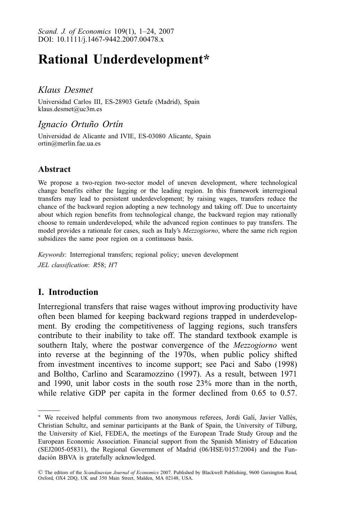# **Rational Underdevelopment\***

# *Klaus Desmet*

Universidad Carlos III, ES-28903 Getafe (Madrid), Spain klaus.desmet@uc3m.es

# *Ignacio Ortu˜no Ort´ın*

Universidad de Alicante and IVIE, ES-03080 Alicante, Spain ortin@merlin.fae.ua.es

# **Abstract**

We propose a two-region two-sector model of uneven development, where technological change benefits either the lagging or the leading region. In this framework interregional transfers may lead to persistent underdevelopment; by raising wages, transfers reduce the chance of the backward region adopting a new technology and taking off. Due to uncertainty about which region benefits from technological change, the backward region may rationally choose to remain underdeveloped, while the advanced region continues to pay transfers. The model provides a rationale for cases, such as Italy's *Mezzogiorno*, where the same rich region subsidizes the same poor region on a continuous basis.

*Keywords*: Interregional transfers; regional policy; uneven development *JEL classification*: *R*58; *H*7

# **I. Introduction**

Interregional transfers that raise wages without improving productivity have often been blamed for keeping backward regions trapped in underdevelopment. By eroding the competitiveness of lagging regions, such transfers contribute to their inability to take off. The standard textbook example is southern Italy, where the postwar convergence of the *Mezzogiorno* went into reverse at the beginning of the 1970s, when public policy shifted from investment incentives to income support; see Paci and Sabo (1998) and Boltho, Carlino and Scaramozzino (1997). As a result, between 1971 and 1990, unit labor costs in the south rose 23% more than in the north, while relative GDP per capita in the former declined from 0.65 to 0.57.

<sup>\*</sup> We received helpful comments from two anonymous referees, Jordi Galí, Javier Vallés, Christian Schultz, and seminar participants at the Bank of Spain, the University of Tilburg, the University of Kiel, FEDEA, the meetings of the European Trade Study Group and the European Economic Association. Financial support from the Spanish Ministry of Education (SEJ2005-05831), the Regional Government of Madrid (06/HSE/0157/2004) and the Fundación BBVA is gratefully acknowledged.

<sup>C</sup> The editors of the *Scandinavian Journal of Economics* 2007. Published by Blackwell Publishing, 9600 Garsington Road, Oxford, OX4 2DQ, UK and 350 Main Street, Malden, MA 02148, USA.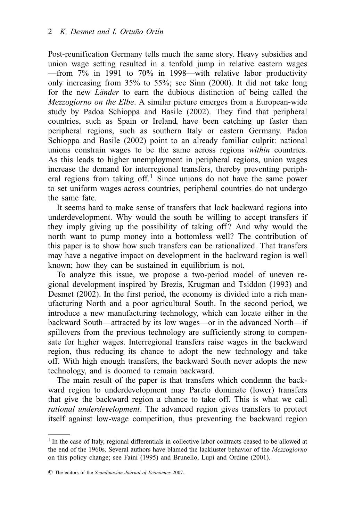Post-reunification Germany tells much the same story. Heavy subsidies and union wage setting resulted in a tenfold jump in relative eastern wages —from 7% in 1991 to 70% in 1998—with relative labor productivity only increasing from 35% to 55%; see Sinn (2000). It did not take long for the new *Länder* to earn the dubious distinction of being called the *Mezzogiorno on the Elbe*. A similar picture emerges from a European-wide study by Padoa Schioppa and Basile (2002). They find that peripheral countries, such as Spain or Ireland, have been catching up faster than peripheral regions, such as southern Italy or eastern Germany. Padoa Schioppa and Basile (2002) point to an already familiar culprit: national unions constrain wages to be the same across regions *within* countries. As this leads to higher unemployment in peripheral regions, union wages increase the demand for interregional transfers, thereby preventing peripheral regions from taking off.<sup>1</sup> Since unions do not have the same power to set uniform wages across countries, peripheral countries do not undergo the same fate.

It seems hard to make sense of transfers that lock backward regions into underdevelopment. Why would the south be willing to accept transfers if they imply giving up the possibility of taking off ? And why would the north want to pump money into a bottomless well? The contribution of this paper is to show how such transfers can be rationalized. That transfers may have a negative impact on development in the backward region is well known; how they can be sustained in equilibrium is not.

To analyze this issue, we propose a two-period model of uneven regional development inspired by Brezis, Krugman and Tsiddon (1993) and Desmet (2002). In the first period, the economy is divided into a rich manufacturing North and a poor agricultural South. In the second period, we introduce a new manufacturing technology, which can locate either in the backward South—attracted by its low wages—or in the advanced North—if spillovers from the previous technology are sufficiently strong to compensate for higher wages. Interregional transfers raise wages in the backward region, thus reducing its chance to adopt the new technology and take off. With high enough transfers, the backward South never adopts the new technology, and is doomed to remain backward.

The main result of the paper is that transfers which condemn the backward region to underdevelopment may Pareto dominate (lower) transfers that give the backward region a chance to take off. This is what we call *rational underdevelopment*. The advanced region gives transfers to protect itself against low-wage competition, thus preventing the backward region

<sup>&</sup>lt;sup>1</sup> In the case of Italy, regional differentials in collective labor contracts ceased to be allowed at the end of the 1960s. Several authors have blamed the lackluster behavior of the *Mezzogiorno* on this policy change; see Faini (1995) and Brunello, Lupi and Ordine (2001).

<sup>C</sup> The editors of the *Scandinavian Journal of Economics* 2007.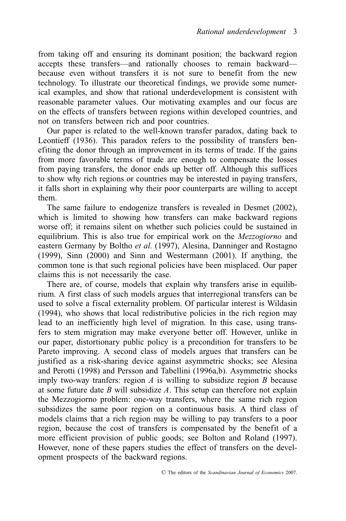from taking off and ensuring its dominant position; the backward region accepts these transfers—and rationally chooses to remain backward because even without transfers it is not sure to benefit from the new technology. To illustrate our theoretical findings, we provide some numerical examples, and show that rational underdevelopment is consistent with reasonable parameter values. Our motivating examples and our focus are on the effects of transfers between regions within developed countries, and not on transfers between rich and poor countries.

Our paper is related to the well-known transfer paradox, dating back to Leontieff (1936). This paradox refers to the possibility of transfers benefiting the donor through an improvement in its terms of trade. If the gains from more favorable terms of trade are enough to compensate the losses from paying transfers, the donor ends up better off. Although this suffices to show why rich regions or countries may be interested in paying transfers, it falls short in explaining why their poor counterparts are willing to accept them.

The same failure to endogenize transfers is revealed in Desmet (2002), which is limited to showing how transfers can make backward regions worse off; it remains silent on whether such policies could be sustained in equilibrium. This is also true for empirical work on the *Mezzogiorno* and eastern Germany by Boltho *et al.* (1997), Alesina, Danninger and Rostagno (1999), Sinn (2000) and Sinn and Westermann (2001). If anything, the common tone is that such regional policies have been misplaced. Our paper claims this is not necessarily the case.

There are, of course, models that explain why transfers arise in equilibrium. A first class of such models argues that interregional transfers can be used to solve a fiscal externality problem. Of particular interest is Wildasin (1994), who shows that local redistributive policies in the rich region may lead to an inefficiently high level of migration. In this case, using transfers to stem migration may make everyone better off. However, unlike in our paper, distortionary public policy is a precondition for transfers to be Pareto improving. A second class of models argues that transfers can be justified as a risk-sharing device against asymmetric shocks; see Alesina and Perotti (1998) and Persson and Tabellini (1996a,b). Asymmetric shocks imply two-way tranfers: region *A* is willing to subsidize region *B* because at some future date *B* will subsidize *A*. This setup can therefore not explain the Mezzogiorno problem: one-way transfers, where the same rich region subsidizes the same poor region on a continuous basis. A third class of models claims that a rich region may be willing to pay transfers to a poor region, because the cost of transfers is compensated by the benefit of a more efficient provision of public goods; see Bolton and Roland (1997). However, none of these papers studies the effect of transfers on the development prospects of the backward regions.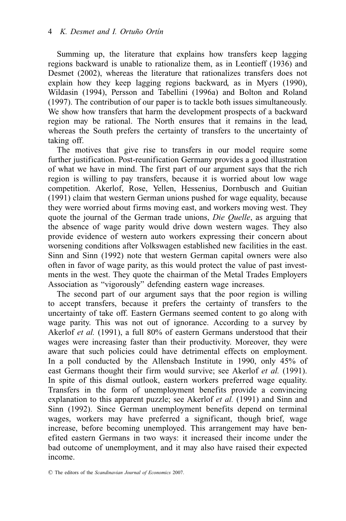Summing up, the literature that explains how transfers keep lagging regions backward is unable to rationalize them, as in Leontieff (1936) and Desmet (2002), whereas the literature that rationalizes transfers does not explain how they keep lagging regions backward, as in Myers (1990), Wildasin (1994), Persson and Tabellini (1996a) and Bolton and Roland (1997). The contribution of our paper is to tackle both issues simultaneously. We show how transfers that harm the development prospects of a backward region may be rational. The North ensures that it remains in the lead, whereas the South prefers the certainty of transfers to the uncertainty of taking off.

The motives that give rise to transfers in our model require some further justification. Post-reunification Germany provides a good illustration of what we have in mind. The first part of our argument says that the rich region is willing to pay transfers, because it is worried about low wage competition. Akerlof, Rose, Yellen, Hessenius, Dornbusch and Guitian (1991) claim that western German unions pushed for wage equality, because they were worried about firms moving east, and workers moving west. They quote the journal of the German trade unions, *Die Quelle*, as arguing that the absence of wage parity would drive down western wages. They also provide evidence of western auto workers expressing their concern about worsening conditions after Volkswagen established new facilities in the east. Sinn and Sinn (1992) note that western German capital owners were also often in favor of wage parity, as this would protect the value of past investments in the west. They quote the chairman of the Metal Trades Employers Association as "vigorously" defending eastern wage increases.

The second part of our argument says that the poor region is willing to accept transfers, because it prefers the certainty of transfers to the uncertainty of take off. Eastern Germans seemed content to go along with wage parity. This was not out of ignorance. According to a survey by Akerlof *et al.* (1991), a full 80% of eastern Germans understood that their wages were increasing faster than their productivity. Moreover, they were aware that such policies could have detrimental effects on employment. In a poll conducted by the Allensbach Institute in 1990, only 45% of east Germans thought their firm would survive; see Akerlof *et al.* (1991). In spite of this dismal outlook, eastern workers preferred wage equality. Transfers in the form of unemployment benefits provide a convincing explanation to this apparent puzzle; see Akerlof *et al.* (1991) and Sinn and Sinn (1992). Since German unemployment benefits depend on terminal wages, workers may have preferred a significant, though brief, wage increase, before becoming unemployed. This arrangement may have benefited eastern Germans in two ways: it increased their income under the bad outcome of unemployment, and it may also have raised their expected income.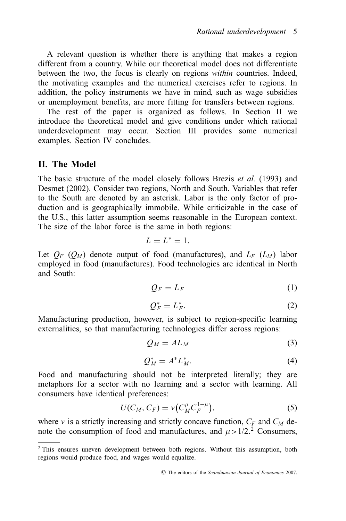A relevant question is whether there is anything that makes a region different from a country. While our theoretical model does not differentiate between the two, the focus is clearly on regions *within* countries. Indeed, the motivating examples and the numerical exercises refer to regions. In addition, the policy instruments we have in mind, such as wage subsidies or unemployment benefits, are more fitting for transfers between regions.

The rest of the paper is organized as follows. In Section II we introduce the theoretical model and give conditions under which rational underdevelopment may occur. Section III provides some numerical examples. Section IV concludes.

# **II. The Model**

The basic structure of the model closely follows Brezis *et al.* (1993) and Desmet (2002). Consider two regions, North and South. Variables that refer to the South are denoted by an asterisk. Labor is the only factor of production and is geographically immobile. While criticizable in the case of the U.S., this latter assumption seems reasonable in the European context. The size of the labor force is the same in both regions:

$$
L=L^*=1.
$$

Let  $Q_F$  ( $Q_M$ ) denote output of food (manufactures), and  $L_F$  ( $L_M$ ) labor employed in food (manufactures). Food technologies are identical in North and South:

$$
Q_F = L_F \tag{1}
$$

$$
Q_F^* = L_F^*.
$$

Manufacturing production, however, is subject to region-specific learning externalities, so that manufacturing technologies differ across regions:

$$
Q_M = AL_M \tag{3}
$$

$$
Q_M^* = A^* L_M^*.
$$
\n<sup>(4)</sup>

Food and manufacturing should not be interpreted literally; they are metaphors for a sector with no learning and a sector with learning. All consumers have identical preferences:

$$
U(C_M, C_F) = v(C_M^{\mu} C_F^{1-\mu}),
$$
\n(5)

where  $\nu$  is a strictly increasing and strictly concave function,  $C_F$  and  $C_M$  denote the consumption of food and manufactures, and  $\mu > 1/2$ .<sup>2</sup> Consumers,

<sup>&</sup>lt;sup>2</sup> This ensures uneven development between both regions. Without this assumption, both regions would produce food, and wages would equalize.

<sup>C</sup> The editors of the *Scandinavian Journal of Economics* 2007.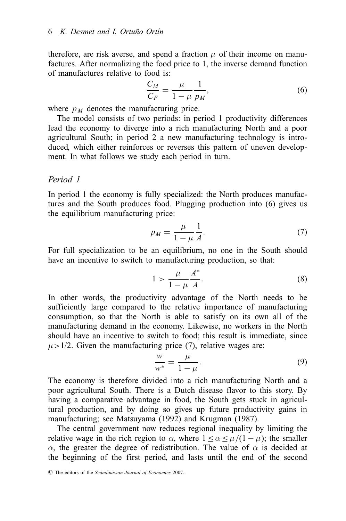therefore, are risk averse, and spend a fraction  $\mu$  of their income on manufactures. After normalizing the food price to 1, the inverse demand function of manufactures relative to food is:

$$
\frac{C_M}{C_F} = \frac{\mu}{1 - \mu} \frac{1}{p_M},\tag{6}
$$

where  $p_M$  denotes the manufacturing price.

The model consists of two periods: in period 1 productivity differences lead the economy to diverge into a rich manufacturing North and a poor agricultural South; in period 2 a new manufacturing technology is introduced, which either reinforces or reverses this pattern of uneven development. In what follows we study each period in turn.

# *Period 1*

In period 1 the economy is fully specialized: the North produces manufactures and the South produces food. Plugging production into (6) gives us the equilibrium manufacturing price:

$$
p_M = \frac{\mu}{1 - \mu} \frac{1}{A}.\tag{7}
$$

For full specialization to be an equilibrium, no one in the South should have an incentive to switch to manufacturing production, so that:

$$
1 > \frac{\mu}{1 - \mu} \frac{A^*}{A}.\tag{8}
$$

In other words, the productivity advantage of the North needs to be sufficiently large compared to the relative importance of manufacturing consumption, so that the North is able to satisfy on its own all of the manufacturing demand in the economy. Likewise, no workers in the North should have an incentive to switch to food; this result is immediate, since  $\mu$  > 1/2. Given the manufacturing price (7), relative wages are:

$$
\frac{w}{w^*} = \frac{\mu}{1 - \mu}.\tag{9}
$$

The economy is therefore divided into a rich manufacturing North and a poor agricultural South. There is a Dutch disease flavor to this story. By having a comparative advantage in food, the South gets stuck in agricultural production, and by doing so gives up future productivity gains in manufacturing; see Matsuyama (1992) and Krugman (1987).

The central government now reduces regional inequality by limiting the relative wage in the rich region to  $\alpha$ , where  $1 \le \alpha \le \mu/(1-\mu)$ ; the smaller *α*, the greater the degree of redistribution. The value of *α* is decided at the beginning of the first period, and lasts until the end of the second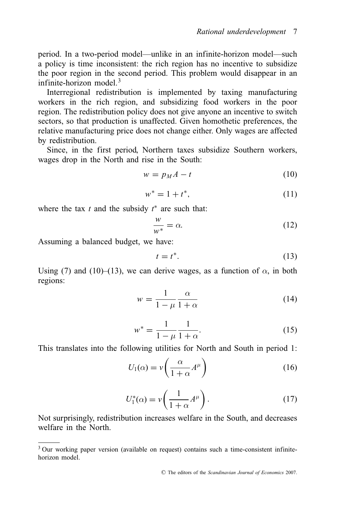period. In a two-period model—unlike in an infinite-horizon model—such a policy is time inconsistent: the rich region has no incentive to subsidize the poor region in the second period. This problem would disappear in an infinite-horizon model.<sup>3</sup>

Interregional redistribution is implemented by taxing manufacturing workers in the rich region, and subsidizing food workers in the poor region. The redistribution policy does not give anyone an incentive to switch sectors, so that production is unaffected. Given homothetic preferences, the relative manufacturing price does not change either. Only wages are affected by redistribution.

Since, in the first period, Northern taxes subsidize Southern workers, wages drop in the North and rise in the South:

$$
w = p_M A - t \tag{10}
$$

$$
w^* = 1 + t^*,
$$
 (11)

where the tax  $t$  and the subsidy  $t^*$  are such that:

$$
\frac{w}{w^*} = \alpha.
$$
 (12)

Assuming a balanced budget, we have:

$$
t = t^*.\tag{13}
$$

Using (7) and (10)–(13), we can derive wages, as a function of  $\alpha$ , in both regions:

$$
w = \frac{1}{1 - \mu} \frac{\alpha}{1 + \alpha} \tag{14}
$$

$$
w^* = \frac{1}{1 - \mu} \frac{1}{1 + \alpha}.
$$
 (15)

This translates into the following utilities for North and South in period 1:

$$
U_1(\alpha) = v \left( \frac{\alpha}{1 + \alpha} A^{\mu} \right) \tag{16}
$$

$$
U_1^*(\alpha) = v \left( \frac{1}{1 + \alpha} A^\mu \right). \tag{17}
$$

Not surprisingly, redistribution increases welfare in the South, and decreases welfare in the North.

<sup>3</sup> Our working paper version (available on request) contains such a time-consistent infinitehorizon model.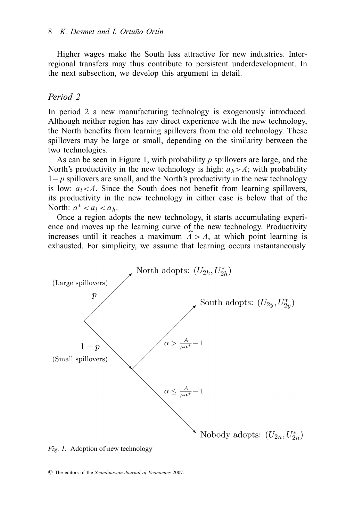Higher wages make the South less attractive for new industries. Interregional transfers may thus contribute to persistent underdevelopment. In the next subsection, we develop this argument in detail.

# *Period 2*

In period 2 a new manufacturing technology is exogenously introduced. Although neither region has any direct experience with the new technology, the North benefits from learning spillovers from the old technology. These spillovers may be large or small, depending on the similarity between the two technologies.

As can be seen in Figure 1, with probability *p* spillovers are large, and the North's productivity in the new technology is high:  $a_h > A$ ; with probability 1− *p* spillovers are small, and the North's productivity in the new technology is low:  $a<sub>l</sub> < A$ . Since the South does not benefit from learning spillovers, its productivity in the new technology in either case is below that of the North:  $a^* < a_l < a_h$ .

Once a region adopts the new technology, it starts accumulating experience and moves up the learning curve of the new technology. Productivity increases until it reaches a maximum  $A > A$ , at which point learning is exhausted. For simplicity, we assume that learning occurs instantaneously.



#### *Fig. 1*. Adoption of new technology

<sup>C</sup> The editors of the *Scandinavian Journal of Economics* 2007.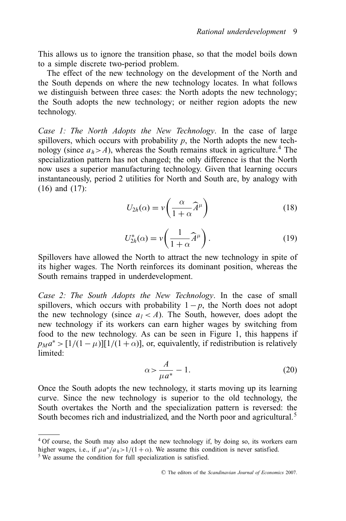This allows us to ignore the transition phase, so that the model boils down to a simple discrete two-period problem.

The effect of the new technology on the development of the North and the South depends on where the new technology locates. In what follows we distinguish between three cases: the North adopts the new technology; the South adopts the new technology; or neither region adopts the new technology.

*Case 1: The North Adopts the New Technology*. In the case of large spillovers, which occurs with probability  $p$ , the North adopts the new technology (since  $a_h > A$ ), whereas the South remains stuck in agriculture.<sup>4</sup> The specialization pattern has not changed; the only difference is that the North now uses a superior manufacturing technology. Given that learning occurs instantaneously, period 2 utilities for North and South are, by analogy with (16) and (17):

$$
U_{2h}(\alpha) = v \left( \frac{\alpha}{1 + \alpha} \widehat{A}^{\mu} \right)
$$
 (18)

$$
U_{2h}^*(\alpha) = v \left( \frac{1}{1+\alpha} \widehat{A}^\mu \right). \tag{19}
$$

Spillovers have allowed the North to attract the new technology in spite of its higher wages. The North reinforces its dominant position, whereas the South remains trapped in underdevelopment.

*Case 2: The South Adopts the New Technology*. In the case of small spillovers, which occurs with probability  $1 - p$ , the North does not adopt the new technology (since  $a<sub>l</sub> < A$ ). The South, however, does adopt the new technology if its workers can earn higher wages by switching from food to the new technology. As can be seen in Figure 1, this happens if  $p_M a^*$  >  $[1/(1 - \mu)][1/(1 + \alpha)]$ , or, equivalently, if redistribution is relatively limited:

$$
\alpha > \frac{A}{\mu a^*} - 1. \tag{20}
$$

Once the South adopts the new technology, it starts moving up its learning curve. Since the new technology is superior to the old technology, the South overtakes the North and the specialization pattern is reversed: the South becomes rich and industrialized, and the North poor and agricultural.<sup>5</sup>

<sup>&</sup>lt;sup>4</sup> Of course, the South may also adopt the new technology if, by doing so, its workers earn higher wages, i.e., if  $\mu a^*/a_h > 1/(1 + \alpha)$ . We assume this condition is never satisfied. <sup>5</sup> We assume the condition for full specialization is satisfied.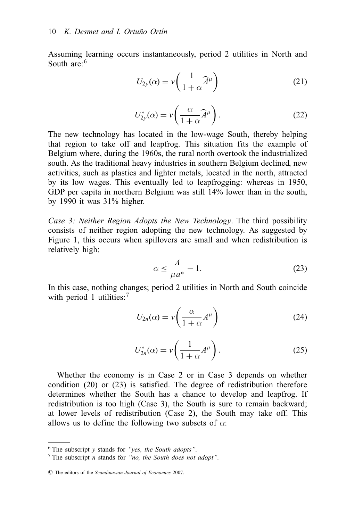Assuming learning occurs instantaneously, period 2 utilities in North and South  $are^6$ 

$$
U_{2y}(\alpha) = v \left( \frac{1}{1 + \alpha} \widehat{A}^{\mu} \right)
$$
 (21)

$$
U_{2y}^*(\alpha) = v \left( \frac{\alpha}{1 + \alpha} \widehat{A}^\mu \right). \tag{22}
$$

The new technology has located in the low-wage South, thereby helping that region to take off and leapfrog. This situation fits the example of Belgium where, during the 1960s, the rural north overtook the industrialized south. As the traditional heavy industries in southern Belgium declined, new activities, such as plastics and lighter metals, located in the north, attracted by its low wages. This eventually led to leapfrogging: whereas in 1950, GDP per capita in northern Belgium was still 14% lower than in the south, by 1990 it was 31% higher.

*Case 3: Neither Region Adopts the New Technology*. The third possibility consists of neither region adopting the new technology. As suggested by Figure 1, this occurs when spillovers are small and when redistribution is relatively high:

$$
\alpha \le \frac{A}{\mu a^*} - 1. \tag{23}
$$

In this case, nothing changes; period 2 utilities in North and South coincide with period 1 utilities: $<sup>7</sup>$ </sup>

$$
U_{2n}(\alpha) = v \left( \frac{\alpha}{1 + \alpha} A^{\mu} \right)
$$
 (24)

$$
U_{2n}^*(\alpha) = v\left(\frac{1}{1+\alpha}A^\mu\right). \tag{25}
$$

Whether the economy is in Case 2 or in Case 3 depends on whether condition (20) or (23) is satisfied. The degree of redistribution therefore determines whether the South has a chance to develop and leapfrog. If redistribution is too high (Case 3), the South is sure to remain backward; at lower levels of redistribution (Case 2), the South may take off. This allows us to define the following two subsets of *α*:

<sup>6</sup> The subscript *y* stands for *"yes, the South adopts"*.

<sup>7</sup> The subscript *n* stands for *"no, the South does not adopt"*.

<sup>C</sup> The editors of the *Scandinavian Journal of Economics* 2007.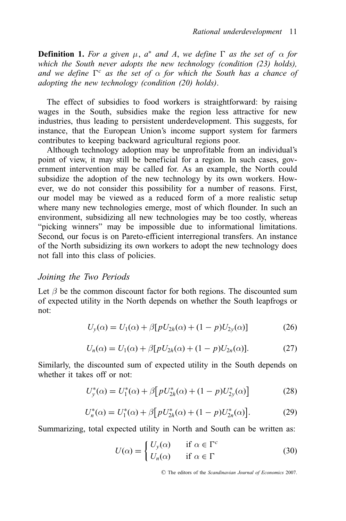**Definition 1.** *For a given*  $\mu$ ,  $a^*$  *and A*, *we define*  $\Gamma$  *as the set of*  $\alpha$  *for which the South never adopts the new technology (condition (23) holds),*  $a$ nd we define  $\Gamma^c$  as the set of  $\alpha$  for which the South has a chance of *adopting the new technology (condition (20) holds)*.

The effect of subsidies to food workers is straightforward: by raising wages in the South, subsidies make the region less attractive for new industries, thus leading to persistent underdevelopment. This suggests, for instance, that the European Union's income support system for farmers contributes to keeping backward agricultural regions poor.

Although technology adoption may be unprofitable from an individual's point of view, it may still be beneficial for a region. In such cases, government intervention may be called for. As an example, the North could subsidize the adoption of the new technology by its own workers. However, we do not consider this possibility for a number of reasons. First, our model may be viewed as a reduced form of a more realistic setup where many new technologies emerge, most of which flounder. In such an environment, subsidizing all new technologies may be too costly, whereas "picking winners" may be impossible due to informational limitations. Second, our focus is on Pareto-efficient interregional transfers. An instance of the North subsidizing its own workers to adopt the new technology does not fall into this class of policies.

## *Joining the Two Periods*

Let  $\beta$  be the common discount factor for both regions. The discounted sum of expected utility in the North depends on whether the South leapfrogs or not:

$$
U_y(\alpha) = U_1(\alpha) + \beta [pU_{2h}(\alpha) + (1 - p)U_{2y}(\alpha)]
$$
 (26)

$$
U_n(\alpha) = U_1(\alpha) + \beta [pU_{2h}(\alpha) + (1 - p)U_{2h}(\alpha)].
$$
 (27)

Similarly, the discounted sum of expected utility in the South depends on whether it takes off or not:

$$
U_{y}^{*}(\alpha) = U_{1}^{*}(\alpha) + \beta \left[ pU_{2h}^{*}(\alpha) + (1 - p)U_{2y}^{*}(\alpha) \right]
$$
 (28)

$$
U_n^*(\alpha) = U_1^*(\alpha) + \beta \big[ p U_{2h}^*(\alpha) + (1 - p) U_{2h}^*(\alpha) \big]. \tag{29}
$$

Summarizing, total expected utility in North and South can be written as:

$$
U(\alpha) = \begin{cases} U_y(\alpha) & \text{if } \alpha \in \Gamma^c \\ U_n(\alpha) & \text{if } \alpha \in \Gamma \end{cases}
$$
 (30)

<sup>C</sup> The editors of the *Scandinavian Journal of Economics* 2007.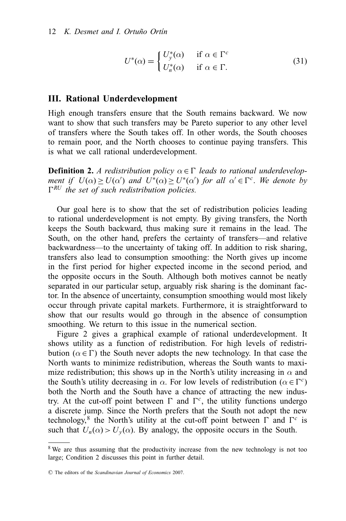$$
U^*(\alpha) = \begin{cases} U_y^*(\alpha) & \text{if } \alpha \in \Gamma^c \\ U_n^*(\alpha) & \text{if } \alpha \in \Gamma. \end{cases}
$$
 (31)

## **III. Rational Underdevelopment**

High enough transfers ensure that the South remains backward. We now want to show that such transfers may be Pareto superior to any other level of transfers where the South takes off. In other words, the South chooses to remain poor, and the North chooses to continue paying transfers. This is what we call rational underdevelopment.

**Definition 2.** *A redistribution policy*  $\alpha \in \Gamma$  *leads to rational underdevelopment if*  $U(\alpha) \ge U(\alpha')$  *and*  $U^*(\alpha) \ge U^*(\alpha')$  *for all*  $\alpha' \in \Gamma^c$ *. We denote by*  $\Gamma^{RU}$  *the set of such redistribution policies.* 

Our goal here is to show that the set of redistribution policies leading to rational underdevelopment is not empty. By giving transfers, the North keeps the South backward, thus making sure it remains in the lead. The South, on the other hand, prefers the certainty of transfers—and relative backwardness—to the uncertainty of taking off. In addition to risk sharing, transfers also lead to consumption smoothing: the North gives up income in the first period for higher expected income in the second period, and the opposite occurs in the South. Although both motives cannot be neatly separated in our particular setup, arguably risk sharing is the dominant factor. In the absence of uncertainty, consumption smoothing would most likely occur through private capital markets. Furthermore, it is straightforward to show that our results would go through in the absence of consumption smoothing. We return to this issue in the numerical section.

Figure 2 gives a graphical example of rational underdevelopment. It shows utility as a function of redistribution. For high levels of redistribution ( $\alpha \in \Gamma$ ) the South never adopts the new technology. In that case the North wants to minimize redistribution, whereas the South wants to maximize redistribution; this shows up in the North's utility increasing in  $\alpha$  and the South's utility decreasing in  $\alpha$ . For low levels of redistribution ( $\alpha \in \Gamma^c$ ) both the North and the South have a chance of attracting the new industry. At the cut-off point between  $\Gamma$  and  $\Gamma^c$ , the utility functions undergo a discrete jump. Since the North prefers that the South not adopt the new technology,<sup>8</sup> the North's utility at the cut-off point between  $\Gamma$  and  $\Gamma^c$  is such that  $U_n(\alpha) > U_{\nu}(\alpha)$ . By analogy, the opposite occurs in the South.

<sup>&</sup>lt;sup>8</sup> We are thus assuming that the productivity increase from the new technology is not too large; Condition 2 discusses this point in further detail.

<sup>C</sup> The editors of the *Scandinavian Journal of Economics* 2007.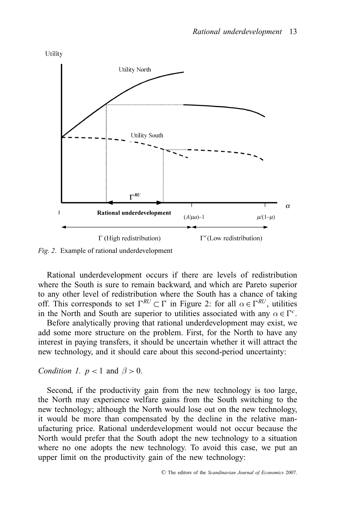

*Fig. 2*. Example of rational underdevelopment

Rational underdevelopment occurs if there are levels of redistribution where the South is sure to remain backward, and which are Pareto superior to any other level of redistribution where the South has a chance of taking off. This corresponds to set  $\Gamma^{RU} \subset \Gamma$  in Figure 2: for all  $\alpha \in \Gamma^{RU}$ , utilities in the North and South are superior to utilities associated with any  $\alpha \in \Gamma^c$ .

Before analytically proving that rational underdevelopment may exist, we add some more structure on the problem. First, for the North to have any interest in paying transfers, it should be uncertain whether it will attract the new technology, and it should care about this second-period uncertainty:

*Condition 1.*  $p < 1$  and  $\beta > 0$ .

Second, if the productivity gain from the new technology is too large, the North may experience welfare gains from the South switching to the new technology; although the North would lose out on the new technology, it would be more than compensated by the decline in the relative manufacturing price. Rational underdevelopment would not occur because the North would prefer that the South adopt the new technology to a situation where no one adopts the new technology. To avoid this case, we put an upper limit on the productivity gain of the new technology: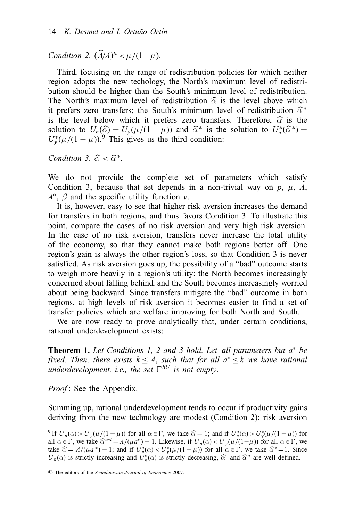*Condition 2.*  $(\overline{A}/A)^{\mu} < \mu/(1-\mu)$ .

Third, focusing on the range of redistribution policies for which neither region adopts the new techology, the North's maximum level of redistribution should be higher than the South's minimum level of redistribution. The North's maximum level of redistribution  $\hat{\alpha}$  is the level above which it prefers zero transfers; the South's minimum level of redistribution *<sup>α</sup>*<sup>∗</sup> is the level below which it prefers zero transfers. Therefore,  $\hat{\alpha}$  is the solution to  $U_n(\hat{\alpha}) = U_y(\mu/(1 - \mu))$  and  $\hat{\alpha}^*$  is the solution to  $U_n^*(\hat{\alpha}^*) = U_n^*(\mu/(1 - \mu))$  This gives us the third condition.  $U_{\mathcal{Y}}^*(\mu/(1-\mu))$ .<sup>9</sup> This gives us the third condition:

*Condition 3.*  $\widehat{\alpha} < \widehat{\alpha}^*$ .

We do not provide the complete set of parameters which satisfy Condition 3, because that set depends in a non-trivial way on  $p$ ,  $\mu$ ,  $A$ , *A*<sup>∗</sup>, *β* and the specific utility function *v*.

It is, however, easy to see that higher risk aversion increases the demand for transfers in both regions, and thus favors Condition 3. To illustrate this point, compare the cases of no risk aversion and very high risk aversion. In the case of no risk aversion, transfers never increase the total utility of the economy, so that they cannot make both regions better off. One region's gain is always the other region's loss, so that Condition 3 is never satisfied. As risk aversion goes up, the possibility of a "bad" outcome starts to weigh more heavily in a region's utility: the North becomes increasingly concerned about falling behind, and the South becomes increasingly worried about being backward. Since transfers mitigate the "bad" outcome in both regions, at high levels of risk aversion it becomes easier to find a set of transfer policies which are welfare improving for both North and South.

We are now ready to prove analytically that, under certain conditions, rational underdevelopment exists:

**Theorem 1.** *Let Conditions 1, 2 and 3 hold. Let all parameters but a*<sup>∗</sup> *be fixed. Then, there exists*  $k \leq A$ *, such that for all a<sup>\*</sup>*  $\leq k$  *we have rational*  $u$ nderdevelopment, i.e., the set  $\Gamma^{RU}$  is not empty.

*Proof* : See the Appendix.

Summing up, rational underdevelopment tends to occur if productivity gains deriving from the new technology are modest (Condition 2); risk aversion

<sup>&</sup>lt;sup>9</sup> If  $U_n(\alpha) > U_y(\mu/(1-\mu))$  for all  $\alpha \in \Gamma$ , we take  $\hat{\alpha} = 1$ ; and if  $U_n^*(\alpha) > U_y^*(\mu/(1-\mu))$  for all  $\alpha \in \Gamma$ , we take  $\hat{\alpha}^{ast} = A/(\mu a^*) - 1$ . Likewise, if  $U_n(\alpha) < U_y(\mu/(1-\mu))$  for all  $\alpha \in \Gamma$ , we take  $\hat{\alpha}^* = A/(\mu a^*) - 1$ . Likewise,  $\hat{\alpha}^* = A/(\mu a^*) - 1$ . take  $\hat{\alpha} = A/(\mu a^*) - 1$ ; and if  $U_n^*(\alpha) < U_y^*(\mu/(1-\mu))$  for all  $\alpha \in \Gamma$ , we take  $\hat{\alpha}^* = 1$ . Since *U<sub>n</sub>*( $\alpha$ ) is strictly increasing and *U*<sup>\*</sup><sub>*n*</sub>( $\alpha$ ) is strictly decreasing,  $\hat{\alpha}$  and  $\hat{\alpha}$ <sup>\*</sup> are well defined.

<sup>C</sup> The editors of the *Scandinavian Journal of Economics* 2007.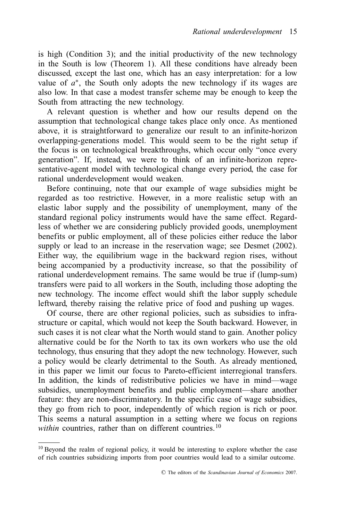is high (Condition 3); and the initial productivity of the new technology in the South is low (Theorem 1). All these conditions have already been discussed, except the last one, which has an easy interpretation: for a low value of *a*<sup>∗</sup>, the South only adopts the new technology if its wages are also low. In that case a modest transfer scheme may be enough to keep the South from attracting the new technology.

A relevant question is whether and how our results depend on the assumption that technological change takes place only once. As mentioned above, it is straightforward to generalize our result to an infinite-horizon overlapping-generations model. This would seem to be the right setup if the focus is on technological breakthroughs, which occur only "once every generation". If, instead, we were to think of an infinite-horizon representative-agent model with technological change every period, the case for rational underdevelopment would weaken.

Before continuing, note that our example of wage subsidies might be regarded as too restrictive. However, in a more realistic setup with an elastic labor supply and the possibility of unemployment, many of the standard regional policy instruments would have the same effect. Regardless of whether we are considering publicly provided goods, unemployment benefits or public employment, all of these policies either reduce the labor supply or lead to an increase in the reservation wage; see Desmet (2002). Either way, the equilibrium wage in the backward region rises, without being accompanied by a productivity increase, so that the possibility of rational underdevelopment remains. The same would be true if (lump-sum) transfers were paid to all workers in the South, including those adopting the new technology. The income effect would shift the labor supply schedule leftward, thereby raising the relative price of food and pushing up wages.

Of course, there are other regional policies, such as subsidies to infrastructure or capital, which would not keep the South backward. However, in such cases it is not clear what the North would stand to gain. Another policy alternative could be for the North to tax its own workers who use the old technology, thus ensuring that they adopt the new technology. However, such a policy would be clearly detrimental to the South. As already mentioned, in this paper we limit our focus to Pareto-efficient interregional transfers. In addition, the kinds of redistributive policies we have in mind—wage subsidies, unemployment benefits and public employment—share another feature: they are non-discriminatory. In the specific case of wage subsidies, they go from rich to poor, independently of which region is rich or poor. This seems a natural assumption in a setting where we focus on regions *within* countries, rather than on different countries.<sup>10</sup>

<sup>&</sup>lt;sup>10</sup> Beyond the realm of regional policy, it would be interesting to explore whether the case of rich countries subsidizing imports from poor countries would lead to a similar outcome.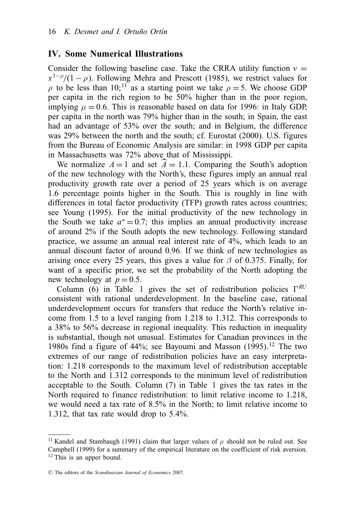## **IV. Some Numerical Illustrations**

Consider the following baseline case. Take the CRRA utility function  $v =$  $x^{1-\rho}/(1-\rho)$ . Following Mehra and Prescott (1985), we restrict values for *ρ* to be less than 10;<sup>11</sup> as a starting point we take  $\rho = 5$ . We choose GDP per capita in the rich region to be 50% higher than in the poor region, implying  $\mu = 0.6$ . This is reasonable based on data for 1996: in Italy GDP, per capita in the north was 79% higher than in the south; in Spain, the east had an advantage of 53% over the south; and in Belgium, the difference was 29% between the north and the south; cf. Eurostat (2000). U.S. figures from the Bureau of Economic Analysis are similar: in 1998 GDP per capita in Massachusetts was 72% above that of Mississippi.

We normalize  $A = 1$  and set  $A = 1.1$ . Comparing the South's adoption of the new technology with the North's, these figures imply an annual real productivity growth rate over a period of 25 years which is on average 1.6 percentage points higher in the South. This is roughly in line with differences in total factor productivity (TFP) growth rates across countries; see Young (1995). For the initial productivity of the new technology in the South we take  $a^* = 0.7$ ; this implies an annual productivity increase of around 2% if the South adopts the new technology. Following standard practice, we assume an annual real interest rate of 4%, which leads to an annual discount factor of around 0.96. If we think of new technologies as arising once every 25 years, this gives a value for *β* of 0.375. Finally, for want of a specific prior, we set the probability of the North adopting the new technology at  $p = 0.5$ .

Column (6) in Table 1 gives the set of redistribution policies  $\Gamma^{RU}$ consistent with rational underdevelopment. In the baseline case, rational underdevelopment occurs for transfers that reduce the North's relative income from 1.5 to a level ranging from 1.218 to 1.312. This corresponds to a 38% to 56% decrease in regional inequality. This reduction in inequality is substantial, though not unusual. Estimates for Canadian provinces in the 1980s find a figure of 44%; see Bayoumi and Masson  $(1995)$ .<sup>12</sup> The two extremes of our range of redistribution policies have an easy interpretation: 1.218 corresponds to the maximum level of redistribution acceptable to the North and 1.312 corresponds to the minimum level of redistribution acceptable to the South. Column (7) in Table 1 gives the tax rates in the North required to finance redistribution: to limit relative income to 1.218, we would need a tax rate of 8.5% in the North; to limit relative income to 1.312, that tax rate would drop to 5.4%.

<sup>&</sup>lt;sup>11</sup> Kandel and Stambaugh (1991) claim that larger values of  $\rho$  should not be ruled out. See Campbell (1999) for a summary of the empirical literature on the coefficient of risk aversion. <sup>12</sup> This is an upper bound.

<sup>C</sup> The editors of the *Scandinavian Journal of Economics* 2007.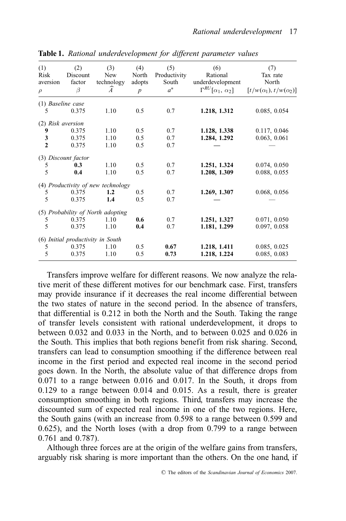| (1)                 | (2)                               | (3)                                | (4)              | (5)          | (6)                               | (7)                              |
|---------------------|-----------------------------------|------------------------------------|------------------|--------------|-----------------------------------|----------------------------------|
| Risk                | Discount                          | New                                | North            | Productivity | Rational                          | Tax rate                         |
| aversion            | factor                            | technology                         | adopts           | South        | underdevelopment                  | North                            |
| $\rho$              | $\beta$                           | $\widehat{A}$                      | $\boldsymbol{p}$ | $a^*$        | $\Gamma^{RU}[\alpha_1, \alpha_2]$ | $[t/w(\alpha_1), t/w(\alpha_2)]$ |
| $(1)$ Baseline case |                                   |                                    |                  |              |                                   |                                  |
| 5                   | 0.375                             | 1.10                               | 0.5              | 0.7          | 1.218, 1.312                      | 0.085, 0.054                     |
| (2) Risk aversion   |                                   |                                    |                  |              |                                   |                                  |
| 9                   | 0.375                             | 1.10                               | 0.5              | 0.7          | 1.128, 1.338                      | 0.117, 0.046                     |
| 3                   | 0.375                             | 1.10                               | 0.5              | 0.7          | 1.284, 1.292                      | 0.063, 0.061                     |
| $\overline{2}$      | 0.375                             | 1.10                               | 0.5              | 0.7          |                                   |                                  |
|                     | (3) Discount factor               |                                    |                  |              |                                   |                                  |
| 5                   | 0.3                               | 1.10                               | 0.5              | 0.7          | 1.251, 1.324                      | 0.074, 0.050                     |
| 5                   | 0.4                               | 1.10                               | 0.5              | 0.7          | 1.208, 1.309                      | 0.088, 0.055                     |
|                     |                                   | (4) Productivity of new technology |                  |              |                                   |                                  |
| 5                   | 0.375                             | $1.2\phantom{0}$                   | 0.5              | 0.7          | 1.269, 1.307                      | 0.068, 0.056                     |
| 5                   | 0.375                             | 1.4                                | 0.5              | 0.7          |                                   |                                  |
|                     |                                   | (5) Probability of North adopting  |                  |              |                                   |                                  |
| 5                   | 0.375                             | 1.10                               | 0.6              | 0.7          | 1.251, 1.327                      | 0.071, 0.050                     |
| 5                   | 0.375                             | 1.10                               | 0.4              | 0.7          | 1.181, 1.299                      | 0.097, 0.058                     |
|                     | (6) Initial productivity in South |                                    |                  |              |                                   |                                  |
| 5                   | 0.375                             | 1.10                               | 0.5              | 0.67         | 1.218, 1.411                      | 0.085, 0.025                     |
| 5                   | 0.375                             | 1.10                               | 0.5              | 0.73         | 1.218, 1.224                      | 0.085, 0.083                     |

**Table 1.** *Rational underdevelopment for different parameter values*

Transfers improve welfare for different reasons. We now analyze the relative merit of these different motives for our benchmark case. First, transfers may provide insurance if it decreases the real income differential between the two states of nature in the second period. In the absence of transfers, that differential is 0.212 in both the North and the South. Taking the range of transfer levels consistent with rational underdevelopment, it drops to between 0.032 and 0.033 in the North, and to between 0.025 and 0.026 in the South. This implies that both regions benefit from risk sharing. Second, transfers can lead to consumption smoothing if the difference between real income in the first period and expected real income in the second period goes down. In the North, the absolute value of that difference drops from 0.071 to a range between 0.016 and 0.017. In the South, it drops from 0.129 to a range between 0.014 and 0.015. As a result, there is greater consumption smoothing in both regions. Third, transfers may increase the discounted sum of expected real income in one of the two regions. Here, the South gains (with an increase from 0.598 to a range between 0.599 and 0.625), and the North loses (with a drop from 0.799 to a range between 0.761 and 0.787).

Although three forces are at the origin of the welfare gains from transfers, arguably risk sharing is more important than the others. On the one hand, if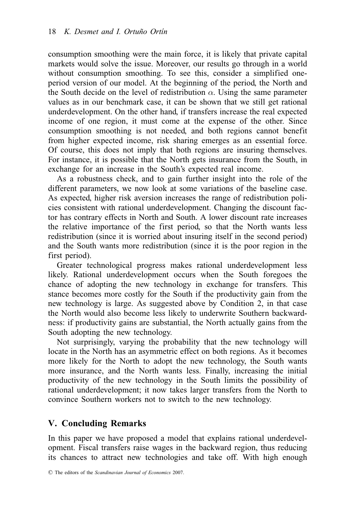consumption smoothing were the main force, it is likely that private capital markets would solve the issue. Moreover, our results go through in a world without consumption smoothing. To see this, consider a simplified oneperiod version of our model. At the beginning of the period, the North and the South decide on the level of redistribution  $\alpha$ . Using the same parameter values as in our benchmark case, it can be shown that we still get rational underdevelopment. On the other hand, if transfers increase the real expected income of one region, it must come at the expense of the other. Since consumption smoothing is not needed, and both regions cannot benefit from higher expected income, risk sharing emerges as an essential force. Of course, this does not imply that both regions are insuring themselves. For instance, it is possible that the North gets insurance from the South, in exchange for an increase in the South's expected real income.

As a robustness check, and to gain further insight into the role of the different parameters, we now look at some variations of the baseline case. As expected, higher risk aversion increases the range of redistribution policies consistent with rational underdevelopment. Changing the discount factor has contrary effects in North and South. A lower discount rate increases the relative importance of the first period, so that the North wants less redistribution (since it is worried about insuring itself in the second period) and the South wants more redistribution (since it is the poor region in the first period).

Greater technological progress makes rational underdevelopment less likely. Rational underdevelopment occurs when the South foregoes the chance of adopting the new technology in exchange for transfers. This stance becomes more costly for the South if the productivity gain from the new technology is large. As suggested above by Condition 2, in that case the North would also become less likely to underwrite Southern backwardness: if productivity gains are substantial, the North actually gains from the South adopting the new technology.

Not surprisingly, varying the probability that the new technology will locate in the North has an asymmetric effect on both regions. As it becomes more likely for the North to adopt the new technology, the South wants more insurance, and the North wants less. Finally, increasing the initial productivity of the new technology in the South limits the possibility of rational underdevelopment; it now takes larger transfers from the North to convince Southern workers not to switch to the new technology.

# **V. Concluding Remarks**

In this paper we have proposed a model that explains rational underdevelopment. Fiscal transfers raise wages in the backward region, thus reducing its chances to attract new technologies and take off. With high enough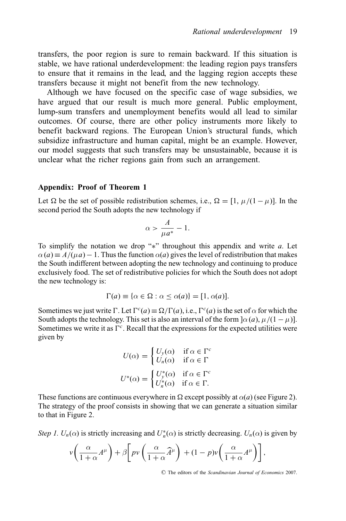transfers, the poor region is sure to remain backward. If this situation is stable, we have rational underdevelopment: the leading region pays transfers to ensure that it remains in the lead, and the lagging region accepts these transfers because it might not benefit from the new technology.

Although we have focused on the specific case of wage subsidies, we have argued that our result is much more general. Public employment, lump-sum transfers and unemployment benefits would all lead to similar outcomes. Of course, there are other policy instruments more likely to benefit backward regions. The European Union's structural funds, which subsidize infrastructure and human capital, might be an example. However, our model suggests that such transfers may be unsustainable, because it is unclear what the richer regions gain from such an arrangement.

#### **Appendix: Proof of Theorem 1**

Let  $\Omega$  be the set of possible redistribution schemes, i.e.,  $\Omega = [1, \mu/(1 - \mu)]$ . In the second period the South adopts the new technology if

$$
\alpha > \frac{A}{\mu a^*} - 1.
$$

To simplify the notation we drop "∗" throughout this appendix and write *a*. Let  $\alpha(a) \equiv A/(\mu a) - 1$ . Thus the function  $\alpha(a)$  gives the level of redistribution that makes the South indifferent between adopting the new technology and continuing to produce exclusively food. The set of redistributive policies for which the South does not adopt the new technology is:

$$
\Gamma(a) \equiv \{ \alpha \in \Omega : \alpha \le \alpha(a) \} = [1, \alpha(a)].
$$

Sometimes we just write  $\Gamma$ . Let  $\Gamma^c(a) \equiv \Omega/\Gamma(a)$ , i.e.,  $\Gamma^c(a)$  is the set of  $\alpha$  for which the South adopts the technology. This set is also an interval of the form  $\alpha(a)$ ,  $\mu/(1 - \mu)$ . Sometimes we write it as  $\Gamma^c$ . Recall that the expressions for the expected utilities were given by

$$
U(\alpha) = \begin{cases} U_y(\alpha) & \text{if } \alpha \in \Gamma^c \\ U_n(\alpha) & \text{if } \alpha \in \Gamma \end{cases}
$$

$$
U^*(\alpha) = \begin{cases} U_y^*(\alpha) & \text{if } \alpha \in \Gamma^c \\ U_n^*(\alpha) & \text{if } \alpha \in \Gamma. \end{cases}
$$

These functions are continuous everywhere in  $\Omega$  except possibly at  $\alpha(a)$  (see Figure 2). The strategy of the proof consists in showing that we can generate a situation similar to that in Figure 2.

*Step 1.*  $U_n(\alpha)$  *is strictly increasing and*  $U_n^*(\alpha)$  *is strictly decreasing.*  $U_n(\alpha)$  *is given by* 

$$
v\left(\frac{\alpha}{1+\alpha}A^{\mu}\right) + \beta \left[pv\left(\frac{\alpha}{1+\alpha}\widehat{A}^{\mu}\right) + (1-p)v\left(\frac{\alpha}{1+\alpha}A^{\mu}\right)\right],
$$

<sup>C</sup> The editors of the *Scandinavian Journal of Economics* 2007.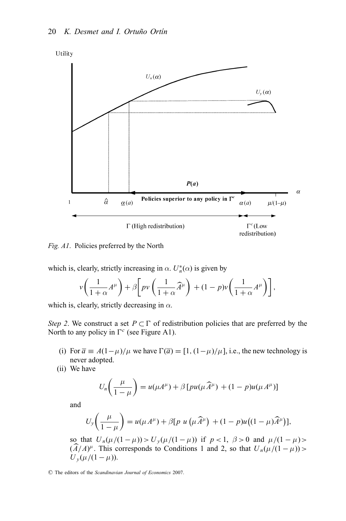

*Fig. A1*. Policies preferred by the North

which is, clearly, strictly increasing in  $\alpha$ .  $U_n^*(\alpha)$  is given by

$$
\nu\left(\frac{1}{1+\alpha}A^{\mu}\right) + \beta\bigg[p\nu\left(\frac{1}{1+\alpha}\widehat{A}^{\mu}\right) + (1-p)\nu\left(\frac{1}{1+\alpha}A^{\mu}\right)\bigg],
$$

which is, clearly, strictly decreasing in *α*.

*Step 2*. We construct a set  $P \subset \Gamma$  of redistribution policies that are preferred by the North to any policy in  $\Gamma^c$  (see Figure A1).

- (i) For  $\overline{a} \equiv A(1-\mu)/\mu$  we have  $\Gamma(\overline{a}) = [1, (1-\mu)/\mu]$ , i.e., the new technology is never adopted.
- (ii) We have

$$
U_n\left(\frac{\mu}{1-\mu}\right) = u(\mu A^{\mu}) + \beta \left[pu(\mu \widehat{A}^{\mu}) + (1-p)u(\mu A^{\mu})\right]
$$

and

$$
U_{\mathcal{Y}}\left(\frac{\mu}{1-\mu}\right) = u(\mu A^{\mu}) + \beta [p \ u \left(\mu \widehat{A}^{\mu}\right) + (1-p)u\big((1-\mu)\widehat{A}^{\mu}\big)],
$$

so that  $U_n(\mu/(1 - \mu)) > U_y(\mu/(1 - \mu))$  if  $p < 1$ ,  $\beta > 0$  and  $\mu/(1 - \mu)$  $(\widehat{A}/A)^{\mu}$ . This corresponds to Conditions 1 and 2, so that  $U_n(\mu/(1-\mu))$  >  $U_{\nu}(\mu/(1-\mu)).$ 

<sup>C</sup> The editors of the *Scandinavian Journal of Economics* 2007.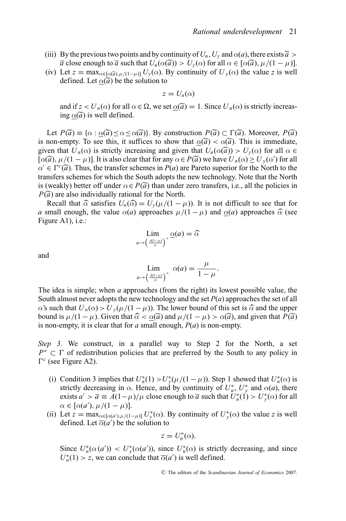- (iii) By the previous two points and by continuity of  $U_n$ ,  $U_v$  and  $\alpha$ (*a*), there exists  $\tilde{a}$  >  $\overline{a}$  close enough to  $\overline{a}$  such that  $U_n(\alpha(\overline{a})) > U_\nu(\alpha)$  for all  $\alpha \in [\alpha(\overline{a}), \mu/(1-\mu)].$
- (iv) Let  $z = \max_{\alpha \in [\alpha(\vec{a}), \mu/(1-\mu)]} U_y(\alpha)$ . By continuity of  $U_y(\alpha)$  the value *z* is well defined. Let  $\alpha(\tilde{a})$  be the solution to

$$
z=U_n(\alpha)
$$

and if  $z < U_n(\alpha)$  for all  $\alpha \in \Omega$ , we set  $\alpha(\widetilde{a}) = 1$ . Since  $U_n(\alpha)$  is strictly increasing  $\alpha(\tilde{a})$  is well defined.

Let  $P(\tilde{a}) \equiv \{\alpha : \underline{\alpha}(\tilde{a}) \leq \alpha \leq \alpha(\tilde{a})\}$ . By construction  $P(\tilde{a}) \subset \Gamma(\tilde{a})$ . Moreover,  $P(\tilde{a})$ is non-empty. To see this, it suffices to show that  $\alpha(\tilde{a}) < \alpha(\tilde{a})$ . This is immediate, given that  $U_n(\alpha)$  is strictly increasing and given that  $U_n(\alpha(\tilde{a})) > U_\nu(\alpha)$  for all  $\alpha \in$  $[\alpha(\tilde{a}), \mu/(1 - \mu)]$ . It is also clear that for any  $\alpha \in P(\tilde{a})$  we have  $U_n(\alpha) \ge U_y(\alpha')$  for all  $\alpha' \in \Gamma(\tilde{a})$ . Thus, the transfer selections in  $P(a)$  are **Dental** enterption for the North to the  $\alpha' \in \Gamma^c(\tilde{a})$ . Thus, the transfer schemes in *P*(*a*) are Pareto superior for the North to the transformation of the North to the Santha degree of the particle of the transfer schemes for which the Slamb transfers schemes for which the South adopts the new technology. Note that the North is (weakly) better off under  $\alpha \in P(\tilde{a})$  than under zero transfers, i.e., all the policies in  $P(\tilde{a})$  are also individually rational for the North.

Recall that  $\hat{\alpha}$  satisfies  $U_n(\hat{\alpha}) = U_{\nu}(\mu/(1 - \mu))$ . It is not difficult to see that for *a* small enough, the value  $\alpha$ (*a*) approaches  $\mu/(1 - \mu)$  and  $\alpha$ (*a*) approaches  $\hat{\alpha}$  (see Figure A1), i.e.:

$$
\lim_{a \to \left(\frac{A(1-\mu)}{\mu}\right)^+} \underline{\alpha}(a) = \widehat{\alpha}
$$

and

$$
\lim_{a \to \left(\frac{A(1-\mu)}{\mu}\right)^+} \alpha(a) = \frac{\mu}{1-\mu}.
$$

The idea is simple; when *a* approaches (from the right) its lowest possible value, the South almost never adopts the new technology and the set  $P(a)$  approaches the set of all *α*'s such that  $U_n(\alpha) > U_{\nu}(\mu/(1 - \mu))$ . The lower bound of this set is  $\hat{\alpha}$  and the upper bound is  $\mu/((1 - \mu))$ . Given that  $\hat{\alpha} < \alpha(\vec{a})$  and  $\mu/(1 - \mu) > \alpha(\vec{a})$ , and given that  $P(\vec{a})$ is non-empty, it is clear that for *a* small enough, *P*(*a*) is non-empty.

*Step 3.* We construct, in a parallel way to Step 2 for the North, a set *P*<sup>∗</sup> ⊂  $\Gamma$  of redistribution policies that are preferred by the South to any policy in  $\Gamma^c$  (see Figure A2).

- (i) Condition 3 implies that  $U_n^*(1) > U_y^*(\mu/(1-\mu))$ . Step 1 showed that  $U_n^*(\alpha)$  is strictly decreasing in  $\alpha$ . Hence, and by continuity of  $U_n^*$ ,  $U_y^*$  and  $\alpha(a)$ , there exists  $a' > \overline{a} \equiv A(1-\mu)/\mu$  close enough to  $\overline{a}$  such that  $U_n^*(1) > U_y^*(\alpha)$  for all  $α ∈ [α(a'), μ/(1 – μ)].$
- (ii) Let  $z = \max_{\alpha \in [\alpha(\alpha'), \mu/(1-\mu)]} U_y^*(\alpha)$ . By continuity of  $U_y^*(\alpha)$  the value *z* is well defined. Let  $\overline{\alpha}(a')$  be the solution to

$$
z=U_n^*(\alpha).
$$

Since  $U_n^*(\alpha(a')) < U_y^*(\alpha(a'))$ , since  $U_n^*(\alpha)$  is strictly decreasing, and since  $U_n^*(1) > z$ , we can conclude that  $\overline{\alpha}(a')$  is well defined.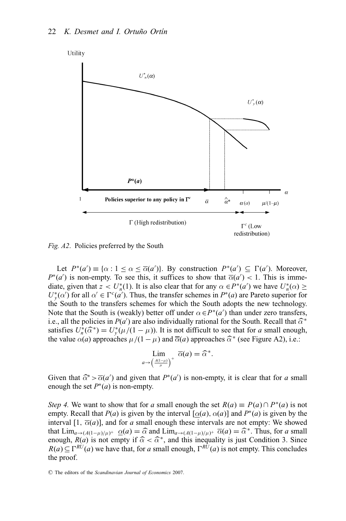

*Fig. A2*. Policies preferred by the South

Let  $P^*(a') \equiv \{\alpha : 1 \le \alpha \le \overline{\alpha}(a')\}$ . By construction  $P^*(a') \subseteq \Gamma(a')$ . Moreover,  $P^*(a')$  is non-empty. To see this, it suffices to show that  $\overline{\alpha}(a') < 1$ . This is immediate, given that  $z < U_n^*(1)$ . It is also clear that for any  $\alpha \in P^*(a')$  we have  $U_n^*(\alpha) \ge$ *U*<sup>\*</sup><sub>*y*</sub>( $\alpha'$ ) for all  $\alpha' \in \Gamma^c(a')$ . Thus, the transfer schemes in *P*<sup>\*</sup>(*a*) are Pareto superior for the South to the transfers schemes for which the South adopts the new technology. Note that the South is (weakly) better off under  $\alpha \in P^*(a')$  than under zero transfers, i.e., all the policies in *P*(*a*<sup>'</sup>) are also individually rational for the South. Recall that  $\hat{\alpha}^*$ satisfies  $U_n^* (\hat{\alpha}^*) = U_y^* (\mu/(1-\mu))$ . It is not difficult to see that for *a* small enough, the value  $\alpha(a)$  approaches  $\mu/(1 - \mu)$  and  $\overline{\alpha}(a)$  approaches  $\widehat{\alpha}^*$  (see Figure A2), i.e.:

$$
\lim_{t\to \left(\frac{A(1-\mu)}{\mu}\right)^+}\overline{\alpha}(a)=\widehat{\alpha}^*.
$$

*a*→

Given that  $\hat{\alpha}^* > \overline{\alpha}(a')$  and given that  $P^*(a')$  is non-empty, it is clear that for *a* small enough the set *P*∗(*a*) is non-empty.

*Step 4.* We want to show that for *a* small enough the set  $R(a) \equiv P(a) \cap P^*(a)$  is not empty. Recall that *P*(*a*) is given by the interval  $[\alpha(a), \alpha(a)]$  and *P*<sup>\*</sup>(*a*) is given by the interval  $[1, \overline{\alpha}(a)]$ , and for *a* small enough these intervals are not empty: We showed that  $\lim_{a \to (A(1-\mu)/\mu)^+} \underline{\alpha}(a) = \widehat{\alpha}$  and  $\lim_{a \to (A(1-\mu)/\mu)^+} \overline{\alpha}(a) = \widehat{\alpha}^*$ . Thus, for *a* small enough,  $R(a)$  is not empty if  $\hat{\alpha} < \hat{\alpha}^*$ , and this inequality is just Condition 3. Since  $R(a) \subseteq \Gamma^{RU}(a)$  we have that, for *a* small enough,  $\Gamma^{RU}(a)$  is not empty. This concludes the proof.

<sup>C</sup> The editors of the *Scandinavian Journal of Economics* 2007.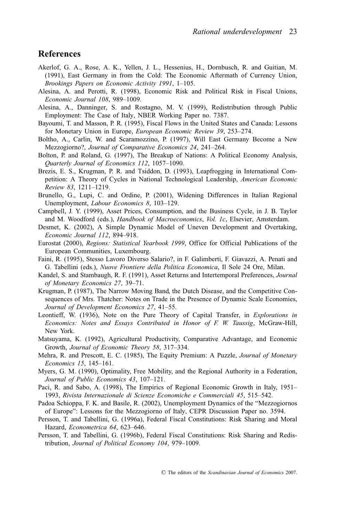## **References**

- Akerlof, G. A., Rose, A. K., Yellen, J. L., Hessenius, H., Dornbusch, R. and Guitian, M. (1991), East Germany in from the Cold: The Economic Aftermath of Currency Union, *Brookings Papers on Economic Activity 1991*, 1–105.
- Alesina, A. and Perotti, R. (1998), Economic Risk and Political Risk in Fiscal Unions, *Economic Journal 108*, 989–1009.
- Alesina, A., Danninger, S. and Rostagno, M. V. (1999), Redistribution through Public Employment: The Case of Italy, NBER Working Paper no. 7387.
- Bayoumi, T. and Masson, P. R. (1995), Fiscal Flows in the United States and Canada: Lessons for Monetary Union in Europe, *European Economic Review 39*, 253–274.
- Boltho, A., Carlin, W. and Scaramozzino, P. (1997), Will East Germany Become a New Mezzogiorno?, *Journal of Comparative Economics 24*, 241–264.
- Bolton, P. and Roland, G. (1997), The Breakup of Nations: A Political Economy Analysis, *Quarterly Journal of Economics 112*, 1057–1090.
- Brezis, E. S., Krugman, P. R. and Tsiddon, D. (1993), Leapfrogging in International Competition: A Theory of Cycles in National Technological Leadership, *American Economic Review 83*, 1211–1219.
- Brunello, G., Lupi, C. and Ordine, P. (2001), Widening Differences in Italian Regional Unemployment, *Labour Economics 8*, 103–129.
- Campbell, J. Y. (1999), Asset Prices, Consumption, and the Business Cycle, in J. B. Taylor and M. Woodford (eds.), *Handbook of Macroeconomics*, *Vol. 1c*, Elsevier, Amsterdam.
- Desmet, K. (2002), A Simple Dynamic Model of Uneven Development and Overtaking, *Economic Journal 112*, 894–918.
- Eurostat (2000), *Regions: Statistical Yearbook 1999*, Office for Official Publications of the European Communities, Luxembourg.
- Faini, R. (1995), Stesso Lavoro Diverso Salario?, in F. Galimberti, F. Giavazzi, A. Penati and G. Tabellini (eds.), *Nuove Frontiere della Politica Economica*, Il Sole 24 Ore, Milan.
- Kandel, S. and Stambaugh, R. F. (1991), Asset Returns and Intertemporal Preferences, *Journal of Monetary Economics 27*, 39–71.
- Krugman, P. (1987), The Narrow Moving Band, the Dutch Disease, and the Competitive Consequences of Mrs. Thatcher: Notes on Trade in the Presence of Dynamic Scale Economies, *Journal of Development Economics 27*, 41–55.
- Leontieff, W. (1936), Note on the Pure Theory of Capital Transfer, in *Explorations in Economics: Notes and Essays Contributed in Honor of F. W. Taussig*, McGraw-Hill, New York.
- Matsuyama, K. (1992), Agricultural Productivity, Comparative Advantage, and Economic Growth, *Journal of Economic Theory 58*, 317–334.
- Mehra, R. and Prescott, E. C. (1985), The Equity Premium: A Puzzle, *Journal of Monetary Economics 15*, 145–161.
- Myers, G. M. (1990), Optimality, Free Mobility, and the Regional Authority in a Federation, *Journal of Public Economics 43*, 107–121.
- Paci, R. and Sabo, A. (1998), The Empirics of Regional Economic Growth in Italy, 1951– 1993, *Rivista Internazionale di Scienze Economiche e Commerciali 45*, 515–542.
- Padoa Schioppa, F. K. and Basile, R. (2002), Unemployment Dynamics of the "Mezzogiornos of Europe": Lessons for the Mezzogiorno of Italy, CEPR Discussion Paper no. 3594.
- Persson, T. and Tabellini, G. (1996a), Federal Fiscal Constitutions: Risk Sharing and Moral Hazard, *Econometrica 64*, 623–646.
- Persson, T. and Tabellini, G. (1996b), Federal Fiscal Constitutions: Risk Sharing and Redistribution, *Journal of Political Economy 104*, 979–1009.